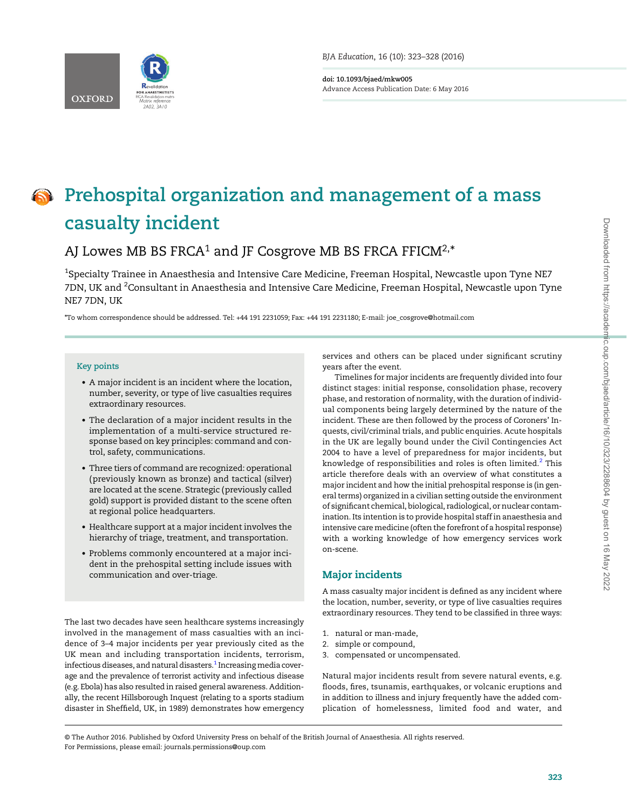

doi: 10.1093/bjaed/mkw005 Advance Access Publication Date: 6 May 2016

# **OF** Prehospital organization and management of a mass casualty incident

# AJ Lowes MB BS FRCA<sup>1</sup> and JF Cosgrove MB BS FRCA FFICM<sup>2,\*</sup>

 $^{\rm 1}$ Specialty Trainee in Anaesthesia and Intensive Care Medicine, Freeman Hospital, Newcastle upon Tyne NE7 7DN, UK and  $^{2}$ Consultant in Anaesthesia and Intensive Care Medicine, Freeman Hospital, Newcastle upon Tyne NE7 7DN, UK

\*To whom correspondence should be addressed. Tel: +44 191 2231059; Fax: +44 191 2231180; E-mail: joe\_cosgrove@hotmail.com

#### Key points

- A major incident is an incident where the location, number, severity, or type of live casualties requires extraordinary resources.
- The declaration of a major incident results in the implementation of a multi-service structured response based on key principles: command and control, safety, communications.
- Three tiers of command are recognized: operational (previously known as bronze) and tactical (silver) are located at the scene. Strategic (previously called gold) support is provided distant to the scene often at regional police headquarters.
- Healthcare support at a major incident involves the hierarchy of triage, treatment, and transportation.
- Problems commonly encountered at a major incident in the prehospital setting include issues with communication and over-triage.

The last two decades have seen healthcare systems increasingly involved in the management of mass casualties with an incidence of 3–4 major incidents per year previously cited as the UK mean and including transportation incidents, terrorism, infectious diseases, and natural disasters.<sup>[1](#page-4-0)</sup> Increasing media coverage and the prevalence of terrorist activity and infectious disease (e.g. Ebola) has also resulted in raised general awareness. Additionally, the recent Hillsborough Inquest (relating to a sports stadium disaster in Sheffield, UK, in 1989) demonstrates how emergency services and others can be placed under significant scrutiny years after the event.

Timelines for major incidents are frequently divided into four distinct stages: initial response, consolidation phase, recovery phase, and restoration of normality, with the duration of individual components being largely determined by the nature of the incident. These are then followed by the process of Coroners' Inquests, civil/criminal trials, and public enquiries. Acute hospitals in the UK are legally bound under the Civil Contingencies Act 2004 to have a level of preparedness for major incidents, but knowledge of responsibilities and roles is often limited.<sup>[2](#page-4-0)</sup> This article therefore deals with an overview of what constitutes a major incident and how the initial prehospital response is (in general terms) organized in a civilian setting outside the environment of significant chemical, biological, radiological, or nuclear contamination. Its intention is to provide hospital staff in anaesthesia and intensive care medicine (often the forefront of a hospital response) with a working knowledge of how emergency services work on-scene.

# Major incidents

A mass casualty major incident is defined as any incident where the location, number, severity, or type of live casualties requires extraordinary resources. They tend to be classified in three ways:

- 1. natural or man-made,
- 2. simple or compound,
- 3. compensated or uncompensated.

Natural major incidents result from severe natural events, e.g. floods, fires, tsunamis, earthquakes, or volcanic eruptions and in addition to illness and injury frequently have the added complication of homelessness, limited food and water, and

<sup>©</sup> The Author 2016. Published by Oxford University Press on behalf of the British Journal of Anaesthesia. All rights reserved. For Permissions, please email: journals.permissions@oup.com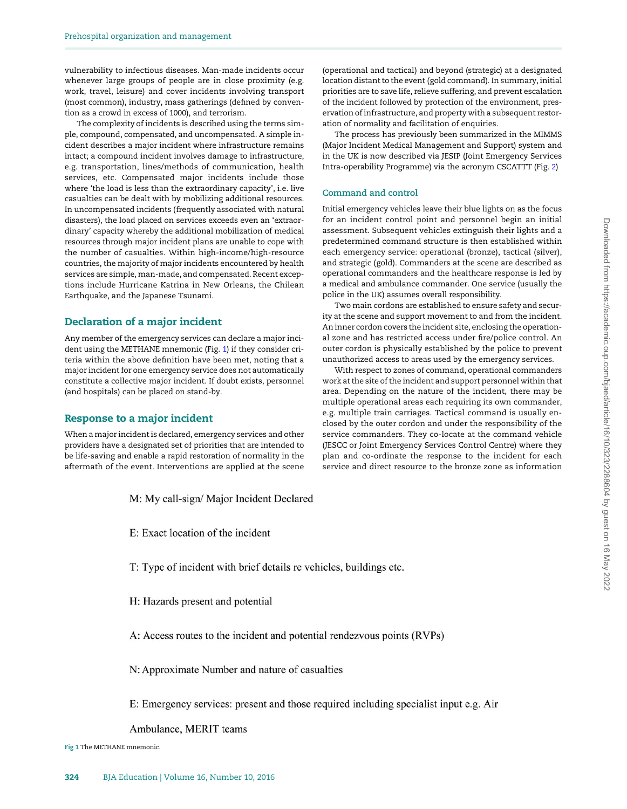vulnerability to infectious diseases. Man-made incidents occur whenever large groups of people are in close proximity (e.g. work, travel, leisure) and cover incidents involving transport (most common), industry, mass gatherings (defined by convention as a crowd in excess of 1000), and terrorism.

The complexity of incidents is described using the terms simple, compound, compensated, and uncompensated. A simple incident describes a major incident where infrastructure remains intact; a compound incident involves damage to infrastructure, e.g. transportation, lines/methods of communication, health services, etc. Compensated major incidents include those where 'the load is less than the extraordinary capacity', i.e. live casualties can be dealt with by mobilizing additional resources. In uncompensated incidents (frequently associated with natural disasters), the load placed on services exceeds even an 'extraordinary' capacity whereby the additional mobilization of medical resources through major incident plans are unable to cope with the number of casualties. Within high-income/high-resource countries, the majority of major incidents encountered by health services are simple, man-made, and compensated. Recent exceptions include Hurricane Katrina in New Orleans, the Chilean Earthquake, and the Japanese Tsunami.

# Declaration of a major incident

Any member of the emergency services can declare a major incident using the METHANE mnemonic (Fig. 1) if they consider criteria within the above definition have been met, noting that a major incident for one emergency service does not automatically constitute a collective major incident. If doubt exists, personnel (and hospitals) can be placed on stand-by.

# Response to a major incident

When a major incident is declared, emergency services and other providers have a designated set of priorities that are intended to be life-saving and enable a rapid restoration of normality in the aftermath of the event. Interventions are applied at the scene

(operational and tactical) and beyond (strategic) at a designated location distant to the event (gold command). In summary, initial priorities are to save life, relieve suffering, and prevent escalation of the incident followed by protection of the environment, preservation of infrastructure, and property with a subsequent restoration of normality and facilitation of enquiries.

The process has previously been summarized in the MIMMS (Major Incident Medical Management and Support) system and in the UK is now described via JESIP (Joint Emergency Services Intra-operability Programme) via the acronym CSCATTT (Fig. [2](#page-2-0))

#### Command and control

Initial emergency vehicles leave their blue lights on as the focus for an incident control point and personnel begin an initial assessment. Subsequent vehicles extinguish their lights and a predetermined command structure is then established within each emergency service: operational (bronze), tactical (silver), and strategic (gold). Commanders at the scene are described as operational commanders and the healthcare response is led by a medical and ambulance commander. One service (usually the police in the UK) assumes overall responsibility.

Two main cordons are established to ensure safety and security at the scene and support movement to and from the incident. An inner cordon covers the incident site, enclosing the operational zone and has restricted access under fire/police control. An outer cordon is physically established by the police to prevent unauthorized access to areas used by the emergency services.

With respect to zones of command, operational commanders work at the site of the incident and support personnel within that area. Depending on the nature of the incident, there may be multiple operational areas each requiring its own commander, e.g. multiple train carriages. Tactical command is usually enclosed by the outer cordon and under the responsibility of the service commanders. They co-locate at the command vehicle (JESCC or Joint Emergency Services Control Centre) where they plan and co-ordinate the response to the incident for each service and direct resource to the bronze zone as information

- M: My call-sign/ Major Incident Declared
- E: Exact location of the incident
- T: Type of incident with brief details re vehicles, buildings etc.
- H: Hazards present and potential
- A: Access routes to the incident and potential rendezvous points (RVPs)
- N: Approximate Number and nature of casualties
- E: Emergency services: present and those required including specialist input e.g. Air

Ambulance, MERIT teams

Fig 1 The METHANE mnemonic.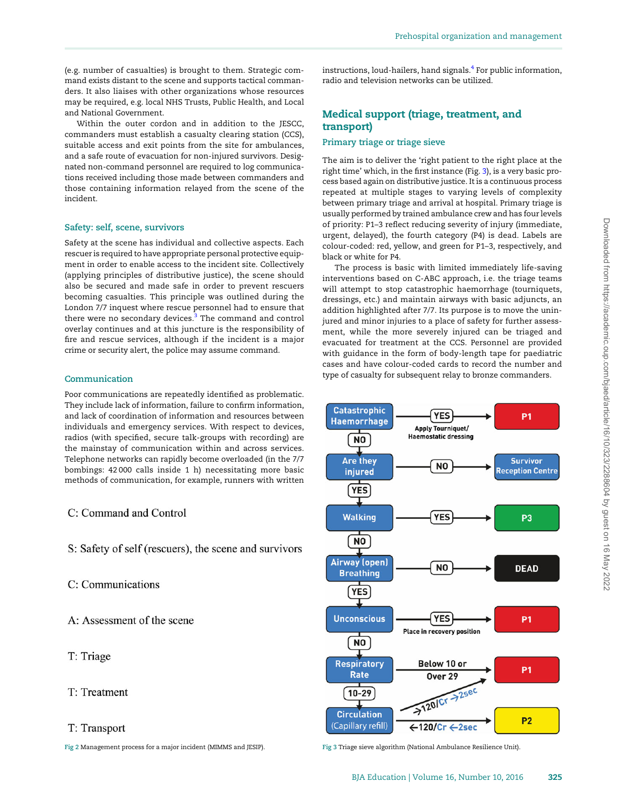<span id="page-2-0"></span>(e.g. number of casualties) is brought to them. Strategic command exists distant to the scene and supports tactical commanders. It also liaises with other organizations whose resources may be required, e.g. local NHS Trusts, Public Health, and Local and National Government.

Within the outer cordon and in addition to the JESCC, commanders must establish a casualty clearing station (CCS), suitable access and exit points from the site for ambulances, and a safe route of evacuation for non-injured survivors. Designated non-command personnel are required to log communications received including those made between commanders and those containing information relayed from the scene of the incident.

#### Safety: self, scene, survivors

Safety at the scene has individual and collective aspects. Each rescuer is required to have appropriate personal protective equipment in order to enable access to the incident site. Collectively (applying principles of distributive justice), the scene should also be secured and made safe in order to prevent rescuers becoming casualties. This principle was outlined during the London 7/7 inquest where rescue personnel had to ensure that there were no secondary devices.<sup>[3](#page-4-0)</sup> The command and control overlay continues and at this juncture is the responsibility of fire and rescue services, although if the incident is a major crime or security alert, the police may assume command.

# Communication

Poor communications are repeatedly identified as problematic. They include lack of information, failure to confirm information, and lack of coordination of information and resources between individuals and emergency services. With respect to devices, radios (with specified, secure talk-groups with recording) are the mainstay of communication within and across services. Telephone networks can rapidly become overloaded (in the 7/7 bombings: 42 000 calls inside 1 h) necessitating more basic methods of communication, for example, runners with written

# C: Command and Control

S: Safety of self (rescuers), the scene and survivors

C: Communications

A: Assessment of the scene

T: Triage

T: Treatment

#### T: Transport

Fig 2 Management process for a major incident (MIMMS and JESIP). Fig 3 Triage sieve algorithm (National Ambulance Resilience Unit).

instructions, loud-hailers, hand signals. $4$  For public information, radio and television networks can be utilized.

# Medical support (triage, treatment, and transport)

### Primary triage or triage sieve

The aim is to deliver the 'right patient to the right place at the right time' which, in the first instance (Fig. 3), is a very basic process based again on distributive justice. It is a continuous process repeated at multiple stages to varying levels of complexity between primary triage and arrival at hospital. Primary triage is usually performed by trained ambulance crew and has four levels of priority: P1–3 reflect reducing severity of injury (immediate, urgent, delayed), the fourth category (P4) is dead. Labels are colour-coded: red, yellow, and green for P1–3, respectively, and black or white for P4.

The process is basic with limited immediately life-saving interventions based on C-ABC approach, i.e. the triage teams will attempt to stop catastrophic haemorrhage (tourniquets, dressings, etc.) and maintain airways with basic adjuncts, an addition highlighted after 7/7. Its purpose is to move the uninjured and minor injuries to a place of safety for further assessment, while the more severely injured can be triaged and evacuated for treatment at the CCS. Personnel are provided with guidance in the form of body-length tape for paediatric cases and have colour-coded cards to record the number and type of casualty for subsequent relay to bronze commanders.

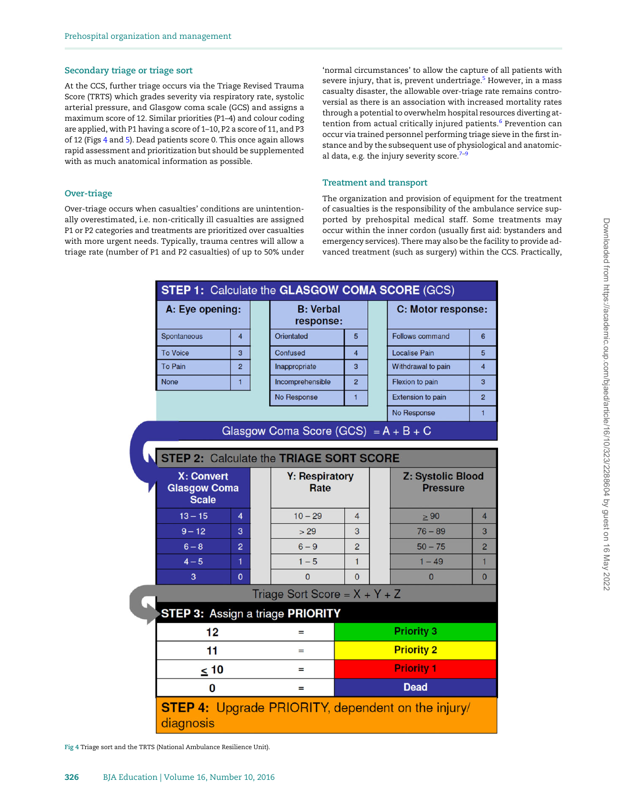#### Secondary triage or triage sort

At the CCS, further triage occurs via the Triage Revised Trauma Score (TRTS) which grades severity via respiratory rate, systolic arterial pressure, and Glasgow coma scale (GCS) and assigns a maximum score of 12. Similar priorities (P1–4) and colour coding are applied, with P1 having a score of 1–10, P2 a score of 11, and P3 of 12 (Figs 4 and [5\)](#page-4-0). Dead patients score 0. This once again allows rapid assessment and prioritization but should be supplemented with as much anatomical information as possible.

#### Over-triage

Over-triage occurs when casualties' conditions are unintentionally overestimated, i.e. non-critically ill casualties are assigned P1 or P2 categories and treatments are prioritized over casualties with more urgent needs. Typically, trauma centres will allow a triage rate (number of P1 and P2 casualties) of up to 50% under 'normal circumstances' to allow the capture of all patients with severe injury, that is, prevent undertriage.<sup>[5](#page-4-0)</sup> However, in a mass casualty disaster, the allowable over-triage rate remains controversial as there is an association with increased mortality rates through a potential to overwhelm hospital resources diverting at-tention from actual critically injured patients.<sup>[6](#page-4-0)</sup> Prevention can occur via trained personnel performing triage sieve in the first instance and by the subsequent use of physiological and anatomical data, e.g. the injury severity score. $7-9$  $7-9$  $7-9$ 

#### Treatment and transport

The organization and provision of equipment for the treatment of casualties is the responsibility of the ambulance service supported by prehospital medical staff. Some treatments may occur within the inner cordon (usually first aid: bystanders and emergency services). There may also be the facility to provide advanced treatment (such as surgery) within the CCS. Practically,

| A: Eye opening:                                          |                | <b>B: Verbal</b><br>response: |                                                |                | C: Motor response:                          |                |
|----------------------------------------------------------|----------------|-------------------------------|------------------------------------------------|----------------|---------------------------------------------|----------------|
| Spontaneous                                              | $\overline{4}$ |                               | Orientated                                     | 5              | <b>Follows command</b>                      | 6              |
| <b>To Voice</b>                                          | 3              |                               | Confused                                       | 4              | <b>Localise Pain</b>                        | 5              |
| <b>To Pain</b>                                           | $\overline{2}$ |                               | Inappropriate                                  | 3              | Withdrawal to pain                          | $\overline{a}$ |
| <b>None</b>                                              | $\mathbf{1}$   |                               | Incomprehensible                               | $\overline{2}$ | Flexion to pain                             | 3              |
|                                                          |                |                               | No Response                                    | $\mathbf{1}$   | <b>Extension to pain</b>                    | $\overline{2}$ |
|                                                          |                |                               |                                                |                | No Response                                 | $\mathbf{1}$   |
|                                                          |                |                               | Glasgow Coma Score (GCS) = $A + B + C$         |                |                                             |                |
|                                                          |                |                               |                                                |                |                                             |                |
|                                                          |                |                               | <b>STEP 2: Calculate the TRIAGE SORT SCORE</b> |                |                                             |                |
| <b>X: Convert</b><br><b>Glasgow Coma</b><br><b>Scale</b> |                |                               | <b>Y: Respiratory</b><br>Rate                  |                | <b>Z: Systolic Blood</b><br><b>Pressure</b> |                |
| $13 - 15$                                                | 4              |                               | $10 - 29$                                      | 4              | $\geq 90$                                   | 4              |
| $9 - 12$                                                 | 3              |                               | > 29                                           | 3              | $76 - 89$                                   | 3              |
| $6 - 8$                                                  | $\overline{2}$ |                               | $6 - 9$                                        | $\overline{2}$ | $50 - 75$                                   | 2              |
| $4 - 5$                                                  | 1              |                               | $1 - 5$                                        | $\mathbf{1}$   | $1 - 49$                                    | 1              |
| 3                                                        | $\mathbf{0}$   |                               | $\overline{0}$                                 | $\Omega$       | $\mathbf{0}$                                | $\mathbf{0}$   |
|                                                          |                |                               | Triage Sort Score = $X + Y + Z$                |                |                                             |                |
|                                                          |                |                               | <b>STEP 3: Assign a triage PRIORITY</b>        |                |                                             |                |
|                                                          |                |                               | $=$                                            |                | <b>Priority 3</b>                           |                |
| 12                                                       |                |                               |                                                |                |                                             |                |
| 11                                                       |                |                               | $=$                                            |                | <b>Priority 2</b>                           |                |
| $\leq 10$                                                |                |                               | $=$                                            |                | <b>Priority 1</b>                           |                |
| 0                                                        |                |                               | =                                              |                | <b>Dead</b>                                 |                |

Fig 4 Triage sort and the TRTS (National Ambulance Resilience Unit).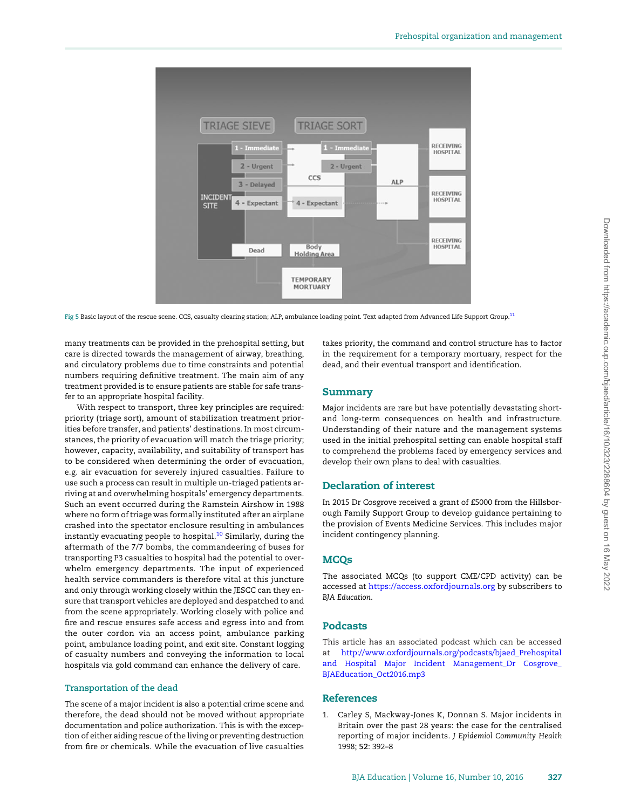<span id="page-4-0"></span>

Fig 5 Basic layout of the rescue scene. CCS, casualty clearing station; ALP, ambulance loading point. Text adapted from Advanced Life Support Group.<sup>11</sup>

many treatments can be provided in the prehospital setting, but care is directed towards the management of airway, breathing, and circulatory problems due to time constraints and potential numbers requiring definitive treatment. The main aim of any treatment provided is to ensure patients are stable for safe transfer to an appropriate hospital facility.

With respect to transport, three key principles are required: priority (triage sort), amount of stabilization treatment priorities before transfer, and patients' destinations. In most circumstances, the priority of evacuation will match the triage priority; however, capacity, availability, and suitability of transport has to be considered when determining the order of evacuation, e.g. air evacuation for severely injured casualties. Failure to use such a process can result in multiple un-triaged patients arriving at and overwhelming hospitals' emergency departments. Such an event occurred during the Ramstein Airshow in 1988 where no form of triage was formally instituted after an airplane crashed into the spectator enclosure resulting in ambulances instantly evacuating people to hospital.<sup>[10](#page-5-0)</sup> Similarly, during the aftermath of the 7/7 bombs, the commandeering of buses for transporting P3 casualties to hospital had the potential to overwhelm emergency departments. The input of experienced health service commanders is therefore vital at this juncture and only through working closely within the JESCC can they ensure that transport vehicles are deployed and despatched to and from the scene appropriately. Working closely with police and fire and rescue ensures safe access and egress into and from the outer cordon via an access point, ambulance parking point, ambulance loading point, and exit site. Constant logging of casualty numbers and conveying the information to local hospitals via gold command can enhance the delivery of care.

#### Transportation of the dead

The scene of a major incident is also a potential crime scene and therefore, the dead should not be moved without appropriate documentation and police authorization. This is with the exception of either aiding rescue of the living or preventing destruction from fire or chemicals. While the evacuation of live casualties takes priority, the command and control structure has to factor in the requirement for a temporary mortuary, respect for the dead, and their eventual transport and identification.

# Summary

Major incidents are rare but have potentially devastating shortand long-term consequences on health and infrastructure. Understanding of their nature and the management systems used in the initial prehospital setting can enable hospital staff to comprehend the problems faced by emergency services and develop their own plans to deal with casualties.

# Declaration of interest

In 2015 Dr Cosgrove received a grant of £5000 from the Hillsborough Family Support Group to develop guidance pertaining to the provision of Events Medicine Services. This includes major incident contingency planning.

### **MCOs**

The associated MCQs (to support CME/CPD activity) can be accessed at https://access.oxfordjournals.org by subscribers to BJA Education.

# Podcasts

This article has an associated podcast which can be accessed at [http://www.oxfordjournals.org/podcasts/bjaed\\_Prehospital](http://www.oxfordjournals.org/podcasts/bjaed_Prehospital and Hospital Major Incident Management_Dr Cosgrove_BJAEducation_Oct2016.mp3) [and Hospital Major Incident Management\\_Dr Cosgrove\\_](http://www.oxfordjournals.org/podcasts/bjaed_Prehospital and Hospital Major Incident Management_Dr Cosgrove_BJAEducation_Oct2016.mp3) [BJAEducation\\_Oct2016.mp3](http://www.oxfordjournals.org/podcasts/bjaed_Prehospital and Hospital Major Incident Management_Dr Cosgrove_BJAEducation_Oct2016.mp3)

### References

1. Carley S, Mackway-Jones K, Donnan S. Major incidents in Britain over the past 28 years: the case for the centralised reporting of major incidents. J Epidemiol Community Health 1998; 52: 392–8